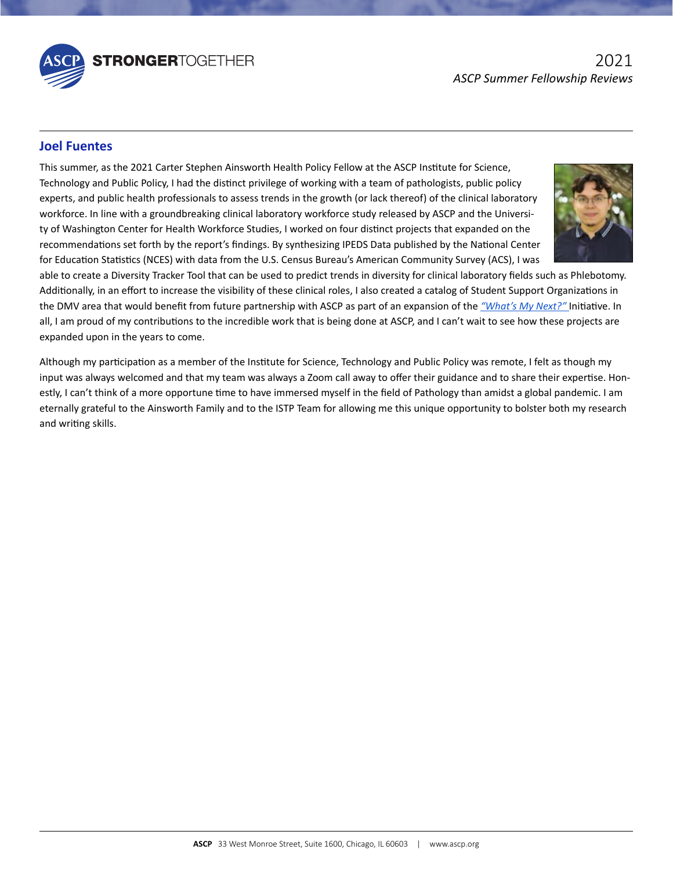

## The ASCP Board of Directors governs the activities of the Society and is responsible for its fiscal viability and for its fiscal viability and for its fiscal viability and for its fiscal viability and for its fiscal viabi **Joel Fuentes**

Technology and Public Policy, I had the distinct privilege of working with a team of pathologists, public policy experts, and public health professionals to assess trends in the growth (or lack thereof) of the clinical laboratory workforce. In line with a groundbreaking clinical laboratory workforce study released by ASCP and the Universiof Laboratory Professionals, and the Chair of the International Commission. ty of Washington Center for Health Workforce Studies, I worked on four distinct projects that expanded on the recommendations set forth by the report's findings. By synthesizing IPEDS Data published by the National Center This summer, as the 2021 Carter Stephen Ainsworth Health Policy Fellow at the ASCP Institute for Science, for Education Statistics (NCES) with data from the U.S. Census Bureau's American Community Survey (ACS), I was



Additionally, in an effort to increase the visibility of these clinical roles, I also created a catalog of Student Support Organizations in<br>the DMM area that would benefit from future northership with ASCP as northefone ar able to create a Diversity Tracker Tool that can be used to predict trends in diversity for clinical laboratory fields such as Phlebotomy. the DMV area that would benefit from future partnership with ASCP as part of an expansion of the *["What's My Next?"](https://www.whatsmynext.org/)* Initiative. In all, I am proud of my contributions to the incredible work that is being done at ASCP, and I can't wait to see how these projects are expanded upon in the years to come.

**William E. Schwarzer, M. F. Schwarzer, M. Fasch** Although my participation as a member of the Institute for Science, Technology and Public Policy was remote, I felt as though my input was always welcomed and that my team was always a Zoom call away to offer their guidance and to share their expertise. Honestly, I can't think of a more opportune time to have immersed myself in the field of Pathology than amidst a global pandemic. I am eternally grateful to the Ainsworth Family and to the ISTP Team for allowing me this unique opportunity to bolster both my research and writing skills.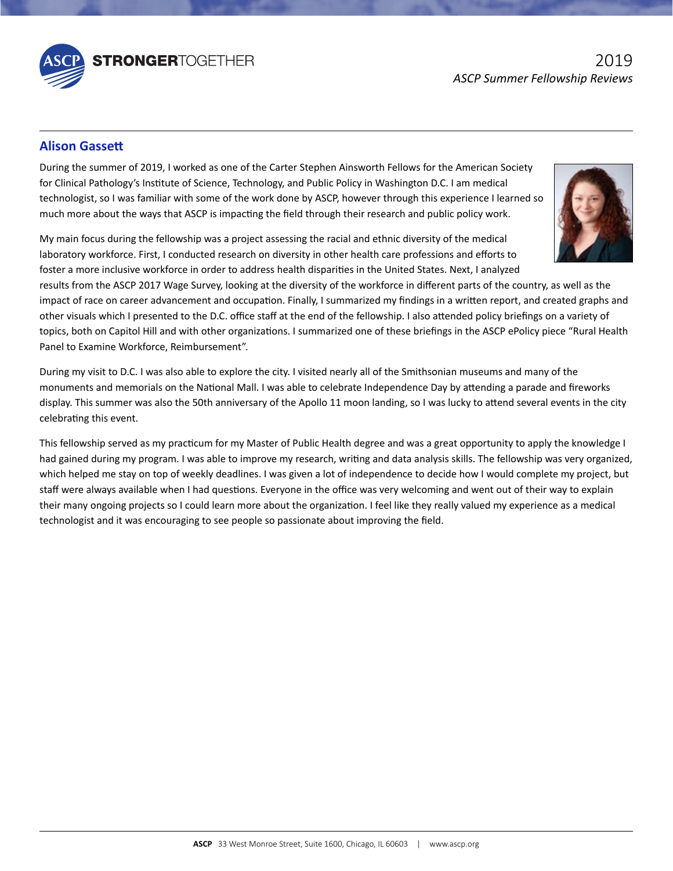

## The ASCP Board of Directors governs the activities of the Society and is responsible for its fiscal viability and for its fiscal viability and for its fiscal viability and for its fiscal viability and for its fiscal viabi **Alison Gassett**

Farmg the Cammer of ECES, include at One of the Carter Diephen monoral Past President Concern Court, fight are the Immediate One of Science, Technology, and Public Policy in Washington D.C. I am medical technologist, so I was familiar with some of the work done by ASCP, however through this experience I learned so the Fellow Council, the Council of Laboratory Professionals and the Council, the Chair-elect of the Chair-elect of the Council of the Council of the Council of the Council of the Council of the Council of the Council of th of Laboratory Professionals, and the Chair of the Chair of the International Commission. During the summer of 2019, I worked as one of the Carter Stephen Ainsworth Fellows for the American Society

In the Officers daring the tenowship was a project assessing the ractar and ethnic arversity or the medical laboratory workforce. First, I conducted research on diversity in other health care professions and efforts to My main focus during the fellowship was a project assessing the racial and ethnic diversity of the medical foster a more inclusive workforce in order to address health disparities in the United States. Next, I analyzed



Panel to Examine Workforce, Reimbursement". impact of race on career advancement and occupation. Finally, I summarized my findings in a written report, and created graphs and results from the ASCP 2017 Wage Survey, looking at the diversity of the workforce in different parts of the country, as well as the other visuals which I presented to the D.C. office staff at the end of the fellowship. I also attended policy briefings on a variety of topics, both on Capitol Hill and with other organizations. I summarized one of these briefings in the ASCP ePolicy piece "Rural Health

During my visit to D.C. I was also able to explore the city. I visited nearly all of the Smithsonian museums and many of the monuments and memorials on the National Mall. I was able to celebrate Independence Day by attending a parade and fireworks display. This summer was also the 50th anniversary of the Apollo 11 moon landing, so I was lucky to attend several events in the city celebrating this event.

This fellowship served as my practicum for my Master of Public Health degree and was a great opportunity to apply the knowledge I had gained during my program. I was able to improve my research, writing and data analysis skills. The fellowship was very organized, which helped me stay on top of weekly deadlines. I was given a lot of independence to decide how I would complete my project, but staff were always available when I had questions. Everyone in the office was very welcoming and went out of their way to explain their many ongoing projects so I could learn more about the organization. I feel like they really valued my experience as a medical technologist and it was encouraging to see people so passionate about improving the field.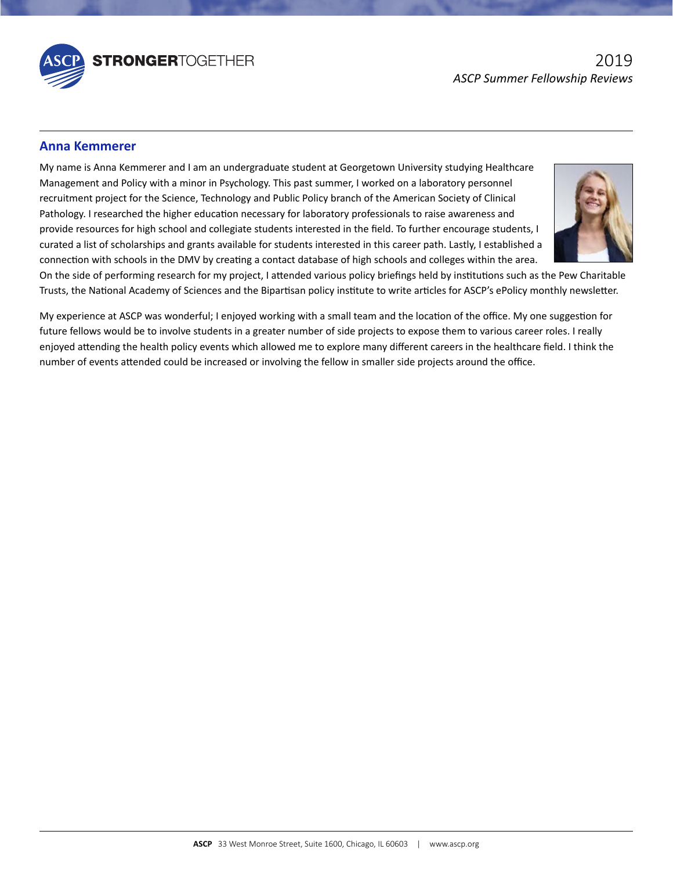

## **Anna Kemmerer**

The Board of the Commercial and Carriers is composed of the Officers, and the Officers, five At-Large Directors who are the Immediate President and Policy with a minor in Psychology. This past summer, I worked on a laborat Fellows, and the Chairs who are Members who are Members, and Public Policy branch of the American Society of Clinical the Fellow Council, the Council, the Council, the Chair-elect of the Council, the Chair-elect of the Chair-elect of the Council of the Council of the Council of the Council of the Council, the Council of the Council of the ramong<sub>)</sub>. These and the might reassament research, it has easily, professionals to halse and chaire and the International Commission. curated a list of scholarships and grants available for students interested in this career path. Lastly, I established a My name is Anna Kemmerer and I am an undergraduate student at Georgetown University studying Healthcare connection with schools in the DMV by creating a contact database of high schools and colleges within the area.



Trusts, the National Academy of Sciences and the Bipartisan policy institute to write articles for ASCP's ePolicy monthly newsletter.<br>-On the side of performing research for my project, I attended various policy briefings held by institutions such as the Pew Charitable

enjoyed attending the health policy events which allowed me to explore many different careers in the healthcare field. I think the number of events attended could be increased or involving the fellow in smaller side projects around the office. My experience at ASCP was wonderful; I enjoyed working with a small team and the location of the office. My one suggestion for future fellows would be to involve students in a greater number of side projects to expose them to various career roles. I really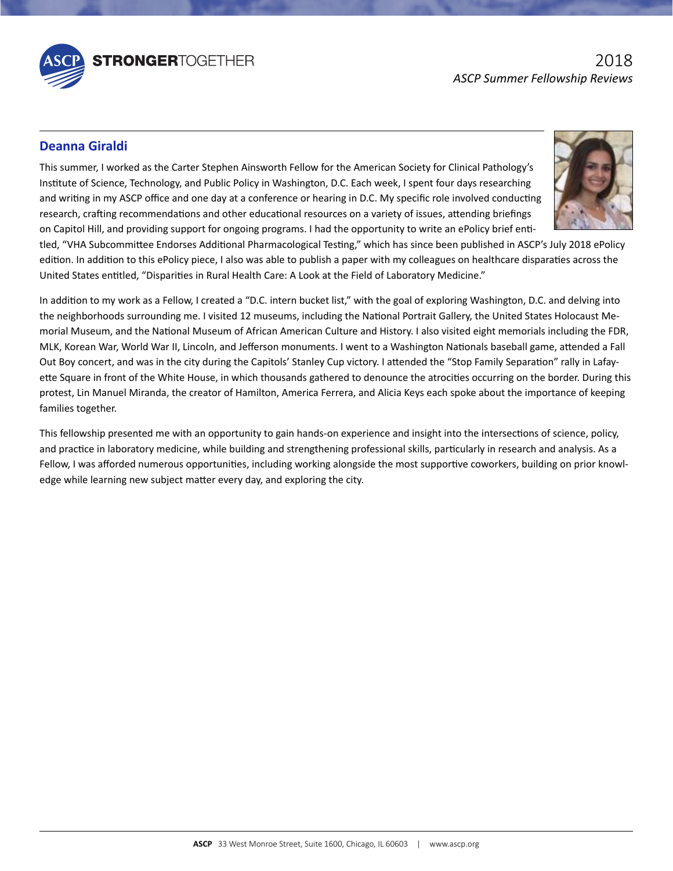

# **Deanna Giraldi**

Institute of Science, Technology, and Public Policy in Washington, D.C. Each week, I spent four days researching and writing in my ASCP office and one day at a conference or hearing in D.C. My specific role involved conducting research, crafting recommendations and other educational resources on a variety of issues, attending briefings of Laboratory Professionals, and the Chair of the Commissional Commission. I have profession, and the International Commission.<br>On Capitol Hill, and providing support for ongoing programs. I had the opportunity to write an This summer, I worked as the Carter Stephen Ainsworth Fellow for the American Society for Clinical Pathology's



tled, "VHA Subcommittee Endorses Additional Pharmacological Testing," which has since been published in ASCP's July 2018 ePolicy edition. In addition to this ePolicy piece, I also was able to publish a paper with my colleagues on healthcare disparaties across the United States entitled, "Disparities in Rural Health Care: A Look at the Field of Laboratory Medicine."

MLK, Korean War, World War II, Lincoln, and Jefferson monuments. I went to a Washington Nationals baseball game, attended a Fall Out Boy concert, and was in the city during the Capitols' Stanley Cup victory. I attended the "Stop Family Separation" rally in Lafay-In addition to my work as a Fellow, I created a "D.C. intern bucket list," with the goal of exploring Washington, D.C. and delving into the neighborhoods surrounding me. I visited 12 museums, including the National Portrait Gallery, the United States Holocaust Memorial Museum, and the National Museum of African American Culture and History. I also visited eight memorials including the FDR, ette Square in front of the White House, in which thousands gathered to denounce the atrocities occurring on the border. During this protest, Lin Manuel Miranda, the creator of Hamilton, America Ferrera, and Alicia Keys each spoke about the importance of keeping families together.

This renotionly presented the them an opportantly to gain hands on experience and moget like the intersections or selence, policy,<br>and practice in laboratory medicine, while building and strengthening professional skills, Fellow, I was afforded numerous opportunities, including working alongside the most supportive coworkers, building on prior knowl-This fellowship presented me with an opportunity to gain hands-on experience and insight into the intersections of science, policy, edge while learning new subject matter every day, and exploring the city.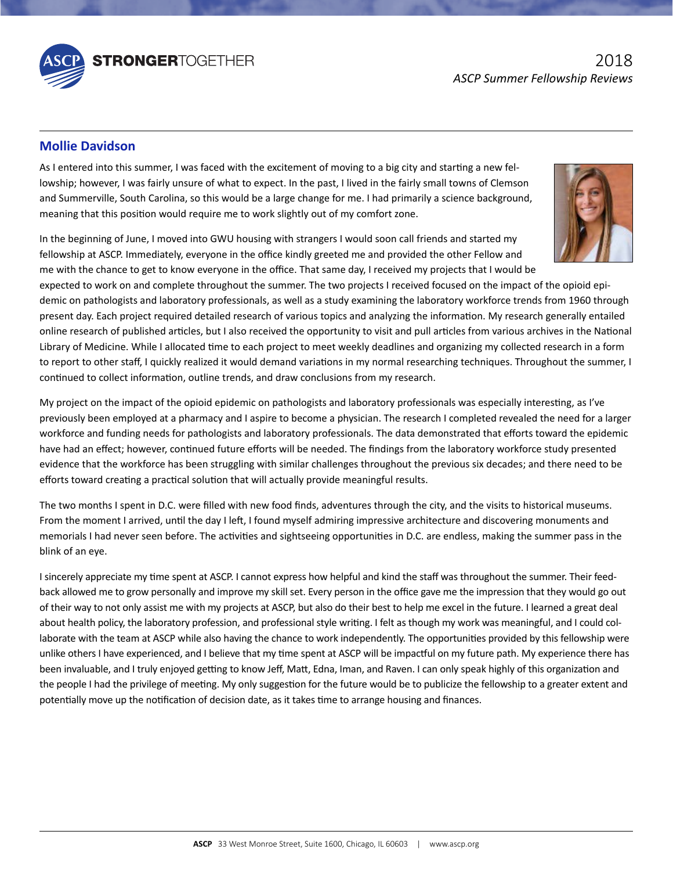

## The ASCP Board of Directors governs the activities of the Society and is responsible for its fiscal viability and for its fiscal viability and for its fiscal viability and for its fiscal viability and for its fiscal viabi **Mollie Davidson**

lowship; however, I was fairly unsure of what to expect. In the past, I lived in the fairly small towns of Clemson and Summerville, South Carolina, so this would be a large change for me. I had primarily a science background, the Fellow Council, the Council, the Council of Laboratory Professionals professionals and the Council, the Chair-<br>meaning that this position would require me to work slightly out of my comfort zone. of Laboratory Professionals, and the Laboratory Professional Commission. As I entered into this summer, I was faced with the excitement of moving to a big city and starting a new fel-

m the Segmining of same, I moved through the Sive Rodaing with strangers I would soon can memas and started my<br>fellowship at ASCP. Immediately, everyone in the office kindly greeted me and provided the other Fellow and In the beginning of June, I moved into GWU housing with strangers I would soon call friends and started my me with the chance to get to know everyone in the office. That same day, I received my projects that I would be



Library of Medicine. While I allocated time to each project to meet weekly deadlines and organizing my collected research in a form to report to other staff, I quickly realized it would demand variations in my normal researching techniques. Throughout the summer, I demic on pathologists and laboratory professionals, as well as a study examining the laboratory workforce trends from 1960 through expected to work on and complete throughout the summer. The two projects I received focused on the impact of the opioid epipresent day. Each project required detailed research of various topics and analyzing the information. My research generally entailed online research of published articles, but I also received the opportunity to visit and pull articles from various archives in the National continued to collect information, outline trends, and draw conclusions from my research.

workioned and randing needs for pathologists and idsordery professionals. The data demonstrated that enorg toward the epidem<br>have had an effect; however, continued future efforts will be needed. The findings from the labor evidence that the workforce has been struggling with similar challenges throughout the previous six decades; and there need to be My project on the impact of the opioid epidemic on pathologists and laboratory professionals was especially interesting, as I've previously been employed at a pharmacy and I aspire to become a physician. The research I completed revealed the need for a larger workforce and funding needs for pathologists and laboratory professionals. The data demonstrated that efforts toward the epidemic efforts toward creating a practical solution that will actually provide meaningful results.

memorials I had never seen before. The activities and sightseeing opportunities in D.C. are endless, making the summer pass in the The two months I spent in D.C. were filled with new food finds, adventures through the city, and the visits to historical museums. From the moment I arrived, until the day I left, I found myself admiring impressive architecture and discovering monuments and blink of an eye.

I sincerely appreciate my time spent at ASCP. I cannot express how helpful and kind the staff was throughout the summer. Their feedlaborate with the team at ASCP while also having the chance to work independently. The opportunities provided by this fellowship were unlike others I have experienced, and I believe that my time spent at ASCP will be impactful on my future path. My experience there has been invaluable, and I truly enjoyed getting to know Jeff, Matt, Edna, Iman, and Raven. I can only speak highly of this organization and Here we have the product of the privilege of meeting. My only suggestion for the future would be to publicize the fellowship to a greater ex potentially move up the notification of decision date, as it takes time to arrange housing and finances. about health policy, the laboratory profession, and professional style writing. I felt as though my work was meaningful, and I could colthe people I had the privilege of meeting. My only suggestion for the future would be to publicize the fellowship to a greater extent and back allowed me to grow personally and improve my skill set. Every person in the office gave me the impression that they would go out of their way to not only assist me with my projects at ASCP, but also do their best to help me excel in the future. I learned a great deal